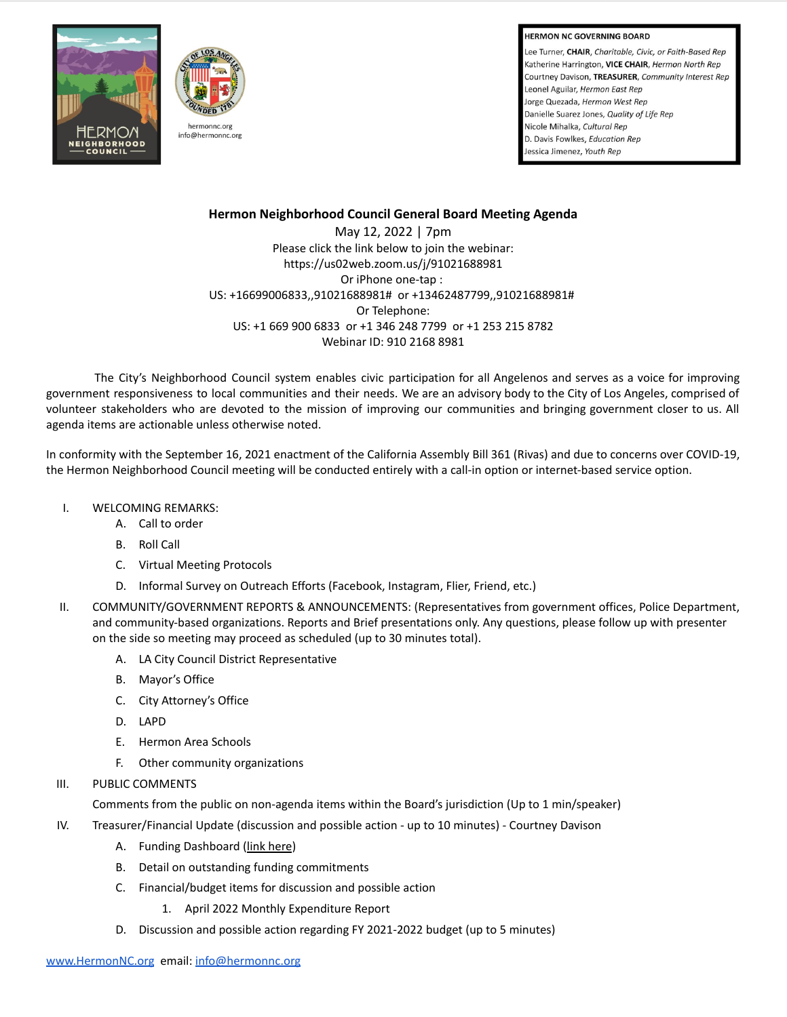**HERMON NC GOVERNING BOARD** 

Lee Turner, CHAIR, Charitable, Civic, or Faith-Based Rep Katherine Harrington, VICE CHAIR, Hermon North Rep Courtney Davison, TREASURER, Community Interest Rep Leonel Aguilar, Hermon East Rep Jorge Quezada, Hermon West Rep Danielle Suarez Jones, Quality of Life Rep Nicole Mihalka, Cultural Rep D. Davis Fowlkes, Education Rep Jessica Jimenez, Youth Rep





# **Hermon Neighborhood Council General Board Meeting Agenda**

May 12, 2022 | 7pm Please click the link below to join the webinar: https://us02web.zoom.us/j/91021688981 Or iPhone one-tap : US: +16699006833,,91021688981# or +13462487799,,91021688981# Or Telephone: US: +1 669 900 6833 or +1 346 248 7799 or +1 253 215 8782 Webinar ID: 910 2168 8981

The City's Neighborhood Council system enables civic participation for all Angelenos and serves as a voice for improving government responsiveness to local communities and their needs. We are an advisory body to the City of Los Angeles, comprised of volunteer stakeholders who are devoted to the mission of improving our communities and bringing government closer to us. All agenda items are actionable unless otherwise noted.

In conformity with the September 16, 2021 enactment of the California Assembly Bill 361 (Rivas) and due to concerns over COVID-19, the Hermon Neighborhood Council meeting will be conducted entirely with a call-in option or internet-based service option.

- I. WELCOMING REMARKS:
	- A. Call to order
	- B. Roll Call
	- C. Virtual Meeting Protocols
	- D. Informal Survey on Outreach Efforts (Facebook, Instagram, Flier, Friend, etc.)
- II. COMMUNITY/GOVERNMENT REPORTS & ANNOUNCEMENTS: (Representatives from government offices, Police Department, and community-based organizations. Reports and Brief presentations only. Any questions, please follow up with presenter on the side so meeting may proceed as scheduled (up to 30 minutes total).
	- A. LA City Council District Representative
	- B. Mayor's Office
	- C. City Attorney's Office
	- D. LAPD
	- E. Hermon Area Schools
	- F. Other community organizations
- III. PUBLIC COMMENTS

Comments from the public on non-agenda items within the Board's jurisdiction (Up to 1 min/speaker)

- IV. Treasurer/Financial Update (discussion and possible action up to 10 minutes) Courtney Davison
	- A. Funding Dashboard (link [here](https://cityclerk.lacity.org/NCFundPortal/Dashboard.html))
	- B. Detail on outstanding funding commitments
	- C. Financial/budget items for discussion and possible action
		- 1. April 2022 Monthly Expenditure Report
	- D. Discussion and possible action regarding FY 2021-2022 budget (up to 5 minutes)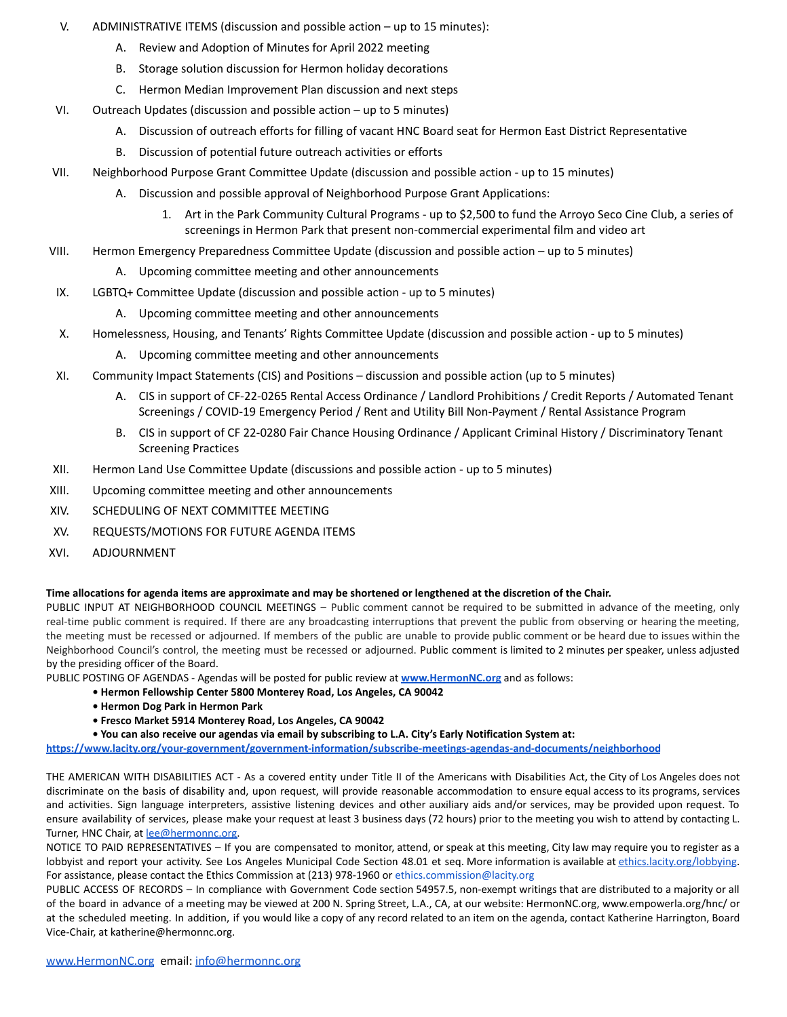- V. ADMINISTRATIVE ITEMS (discussion and possible action up to 15 minutes):
	- A. Review and Adoption of Minutes for April 2022 meeting
	- B. Storage solution discussion for Hermon holiday decorations
	- C. Hermon Median Improvement Plan discussion and next steps
- VI. Outreach Updates (discussion and possible action up to 5 minutes)
	- A. Discussion of outreach efforts for filling of vacant HNC Board seat for Hermon East District Representative
	- B. Discussion of potential future outreach activities or efforts
- VII. Neighborhood Purpose Grant Committee Update (discussion and possible action up to 15 minutes)
	- A. Discussion and possible approval of Neighborhood Purpose Grant Applications:
		- 1. Art in the Park Community Cultural Programs up to \$2,500 to fund the Arroyo Seco Cine Club, a series of screenings in Hermon Park that present non-commercial experimental film and video art
- VIII. Hermon Emergency Preparedness Committee Update (discussion and possible action up to 5 minutes)
	- A. Upcoming committee meeting and other announcements
- IX. LGBTQ+ Committee Update (discussion and possible action up to 5 minutes)
	- A. Upcoming committee meeting and other announcements
- X. Homelessness, Housing, and Tenants' Rights Committee Update (discussion and possible action up to 5 minutes)
	- A. Upcoming committee meeting and other announcements
- XI. Community Impact Statements (CIS) and Positions discussion and possible action (up to 5 minutes)
	- A. CIS in support of CF-22-0265 Rental Access Ordinance / Landlord Prohibitions / Credit Reports / Automated Tenant Screenings / COVID-19 Emergency Period / Rent and Utility Bill Non-Payment / Rental Assistance Program
	- B. CIS in support of CF 22-0280 Fair Chance Housing Ordinance / Applicant Criminal History / Discriminatory Tenant Screening Practices
- XII. Hermon Land Use Committee Update (discussions and possible action up to 5 minutes)
- XIII. Upcoming committee meeting and other announcements
- XIV. SCHEDULING OF NEXT COMMITTEE MEETING
- XV. REQUESTS/MOTIONS FOR FUTURE AGENDA ITEMS
- XVI. ADJOURNMENT

## **Time allocations for agenda items are approximate and may be shortened or lengthened at the discretion of the Chair.**

PUBLIC INPUT AT NEIGHBORHOOD COUNCIL MEETINGS – Public comment cannot be required to be submitted in advance of the meeting, only real-time public comment is required. If there are any broadcasting interruptions that prevent the public from observing or hearing the meeting, the meeting must be recessed or adjourned. If members of the public are unable to provide public comment or be heard due to issues within the Neighborhood Council's control, the meeting must be recessed or adjourned. Public comment is limited to 2 minutes per speaker, unless adjusted by the presiding officer of the Board.

PUBLIC POSTING OF AGENDAS - Agendas will be posted for public review at **[www.HermonNC.org](http://www.hermonnc.org)** and as follows:

- **Hermon Fellowship Center 5800 Monterey Road, Los Angeles, CA 90042**
- **Hermon Dog Park in Hermon Park**
- **Fresco Market 5914 Monterey Road, Los Angeles, CA 90042**
- **You can also receive our agendas via email by subscribing to L.A. City's Early Notification System at:**

**<https://www.lacity.org/your-government/government-information/subscribe-meetings-agendas-and-documents/neighborhood>**

THE AMERICAN WITH DISABILITIES ACT - As a covered entity under Title II of the Americans with Disabilities Act, the City of Los Angeles does not discriminate on the basis of disability and, upon request, will provide reasonable accommodation to ensure equal access to its programs, services and activities. Sign language interpreters, assistive listening devices and other auxiliary aids and/or services, may be provided upon request. To ensure availability of services, please make your request at least 3 business days (72 hours) prior to the meeting you wish to attend by contacting L. Turner, HNC Chair, at [lee@hermonnc.org](mailto:lee@hermonnc.org).

NOTICE TO PAID REPRESENTATIVES – If you are compensated to monitor, attend, or speak at this meeting, City law may require you to register as a lobbyist and report your activity. See Los Angeles Municipal Code Section 48.01 et seq. More information is available at [ethics.lacity.org/lobbying](http://ethics.lacity.org/lobbying). For assistance, please contact the Ethics Commission at (213) 978-1960 or ethics.commission@lacity.org

PUBLIC ACCESS OF RECORDS – In compliance with Government Code section 54957.5, non-exempt writings that are distributed to a majority or all of the board in advance of a meeting may be viewed at 200 N. Spring Street, L.A., CA, at our website: HermonNC.org, www.empowerla.org/hnc/ or at the scheduled meeting. In addition, if you would like a copy of any record related to an item on the agenda, contact Katherine Harrington, Board Vice-Chair, at katherine@hermonnc.org.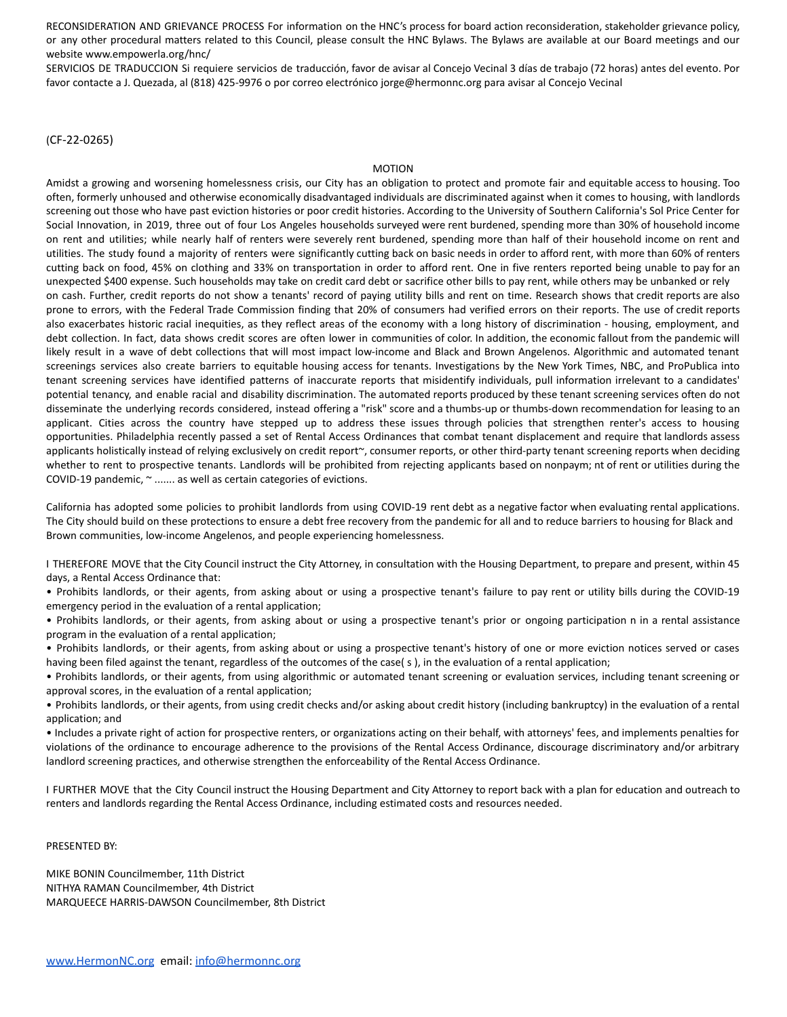RECONSIDERATION AND GRIEVANCE PROCESS For information on the HNC's process for board action reconsideration, stakeholder grievance policy, or any other procedural matters related to this Council, please consult the HNC Bylaws. The Bylaws are available at our Board meetings and our website www.empowerla.org/hnc/

SERVICIOS DE TRADUCCION Si requiere servicios de traducción, favor de avisar al Concejo Vecinal 3 días de trabajo (72 horas) antes del evento. Por favor contacte a J. Quezada, al (818) 425-9976 o por correo electrónico jorge@hermonnc.org para avisar al Concejo Vecinal

### (CF-22-0265)

#### MOTION

Amidst a growing and worsening homelessness crisis, our City has an obligation to protect and promote fair and equitable access to housing. Too often, formerly unhoused and otherwise economically disadvantaged individuals are discriminated against when it comes to housing, with landlords screening out those who have past eviction histories or poor credit histories. According to the University of Southern California's Sol Price Center for Social Innovation, in 2019, three out of four Los Angeles households surveyed were rent burdened, spending more than 30% of household income on rent and utilities; while nearly half of renters were severely rent burdened, spending more than half of their household income on rent and utilities. The study found a majority of renters were significantly cutting back on basic needs in order to afford rent, with more than 60% of renters cutting back on food, 45% on clothing and 33% on transportation in order to afford rent. One in five renters reported being unable to pay for an unexpected \$400 expense. Such households may take on credit card debt or sacrifice other bills to pay rent, while others may be unbanked or rely on cash. Further, credit reports do not show a tenants' record of paying utility bills and rent on time. Research shows that credit reports are also prone to errors, with the Federal Trade Commission finding that 20% of consumers had verified errors on their reports. The use of credit reports also exacerbates historic racial inequities, as they reflect areas of the economy with a long history of discrimination - housing, employment, and debt collection. In fact, data shows credit scores are often lower in communities of color. In addition, the economic fallout from the pandemic will likely result in a wave of debt collections that will most impact low-income and Black and Brown Angelenos. Algorithmic and automated tenant screenings services also create barriers to equitable housing access for tenants. Investigations by the New York Times, NBC, and ProPublica into tenant screening services have identified patterns of inaccurate reports that misidentify individuals, pull information irrelevant to a candidates' potential tenancy, and enable racial and disability discrimination. The automated reports produced by these tenant screening services often do not disseminate the underlying records considered, instead offering a "risk" score and a thumbs-up or thumbs-down recommendation for leasing to an applicant. Cities across the country have stepped up to address these issues through policies that strengthen renter's access to housing opportunities. Philadelphia recently passed a set of Rental Access Ordinances that combat tenant displacement and require that landlords assess applicants holistically instead of relying exclusively on credit report~, consumer reports, or other third-party tenant screening reports when deciding whether to rent to prospective tenants. Landlords will be prohibited from rejecting applicants based on nonpaym; nt of rent or utilities during the COVID-19 pandemic, ~ ....... as well as certain categories of evictions.

California has adopted some policies to prohibit landlords from using COVID-19 rent debt as a negative factor when evaluating rental applications. The City should build on these protections to ensure a debt free recovery from the pandemic for all and to reduce barriers to housing for Black and Brown communities, low-income Angelenos, and people experiencing homelessness.

I THEREFORE MOVE that the City Council instruct the City Attorney, in consultation with the Housing Department, to prepare and present, within 45 days, a Rental Access Ordinance that:

• Prohibits landlords, or their agents, from asking about or using a prospective tenant's failure to pay rent or utility bills during the COVID-19 emergency period in the evaluation of a rental application;

• Prohibits landlords, or their agents, from asking about or using a prospective tenant's prior or ongoing participation n in a rental assistance program in the evaluation of a rental application;

• Prohibits landlords, or their agents, from asking about or using a prospective tenant's history of one or more eviction notices served or cases having been filed against the tenant, regardless of the outcomes of the case(s), in the evaluation of a rental application;

• Prohibits landlords, or their agents, from using algorithmic or automated tenant screening or evaluation services, including tenant screening or approval scores, in the evaluation of a rental application;

• Prohibits landlords, or their agents, from using credit checks and/or asking about credit history (including bankruptcy) in the evaluation of a rental application; and

• Includes a private right of action for prospective renters, or organizations acting on their behalf, with attorneys' fees, and implements penalties for violations of the ordinance to encourage adherence to the provisions of the Rental Access Ordinance, discourage discriminatory and/or arbitrary landlord screening practices, and otherwise strengthen the enforceability of the Rental Access Ordinance.

I FURTHER MOVE that the City Council instruct the Housing Department and City Attorney to report back with a plan for education and outreach to renters and landlords regarding the Rental Access Ordinance, including estimated costs and resources needed.

PRESENTED BY:

MIKE BONIN Councilmember, 11th District NITHYA RAMAN Councilmember, 4th District MARQUEECE HARRIS-DAWSON Councilmember, 8th District